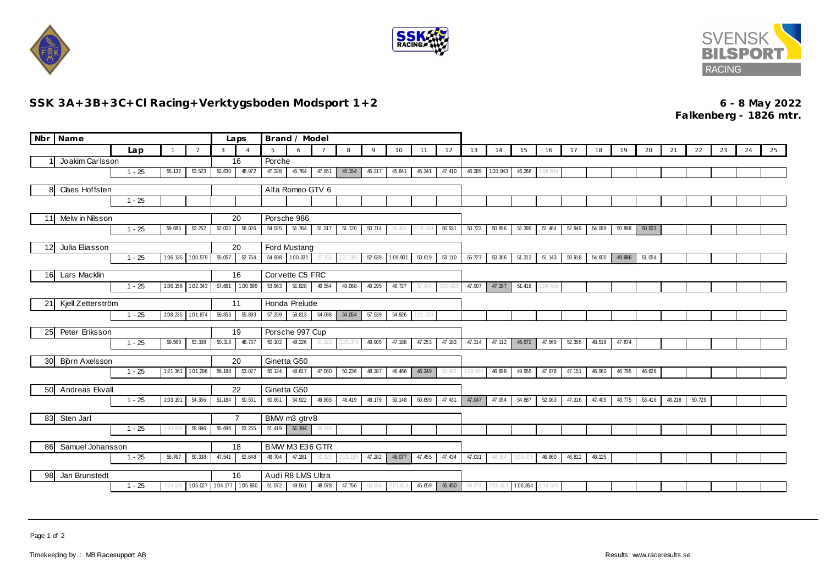





## **SSK 3A+3B+3C+Cl Racing+Verktygsboden Modsport 1+2 6 - 8 May 2022**

**Falkenberg - 1826 mtr.**

|                                  | Nbr Name                                              |          |          |          |                       | Laps                       | Brand / Model    |                   |                |          |        |          |          |          |        |          |                 |          |        |        |        |        |        |        |    |    |    |
|----------------------------------|-------------------------------------------------------|----------|----------|----------|-----------------------|----------------------------|------------------|-------------------|----------------|----------|--------|----------|----------|----------|--------|----------|-----------------|----------|--------|--------|--------|--------|--------|--------|----|----|----|
|                                  |                                                       | Lap      |          | 2        | $\mathbf{3}$          | $\overline{4}$             | 5                | 6                 | $\overline{7}$ | 8        | 9      | 10       | 11       | 12       | 13     | 14       | 15              | 16       | 17     | 18     | 19     | 20     | 21     | 22     | 23 | 24 | 25 |
|                                  | Joakim Carlsson                                       |          |          |          |                       | 16                         |                  | Porche            |                |          |        |          |          |          |        |          |                 |          |        |        |        |        |        |        |    |    |    |
|                                  |                                                       | $1 - 25$ | 55.132   | 53.523   | 52.630                | 48.972                     | 47.328           | 45.764            | 47.851         | 45.154   | 45.217 | 45.641   | 45.341   | 47.410   | 46.389 | 1:31.943 | 46.266          | :06.604  |        |        |        |        |        |        |    |    |    |
| Claes Hoffsten<br>8              |                                                       |          |          |          |                       |                            | Alfa Romeo GTV 6 |                   |                |          |        |          |          |          |        |          |                 |          |        |        |        |        |        |        |    |    |    |
|                                  | $1 - 25$                                              |          |          |          |                       |                            |                  |                   |                |          |        |          |          |          |        |          |                 |          |        |        |        |        |        |        |    |    |    |
|                                  |                                                       |          |          |          |                       |                            | Porsche 986      |                   |                |          |        |          |          |          |        |          |                 |          |        |        |        |        |        |        |    |    |    |
|                                  | Melw in Nilsson<br>11<br>59.685<br>53.262<br>$1 - 25$ |          |          | 52.002   | 20<br>56.026          | 54.025                     | 51.764 51.317    |                   | 51.120         | 50.714   | 55.493 | 2:26.249 | 50.531   | 50.723   | 50.856 | 52.399   | 51.464          | 52.949   | 54.089 | 50.888 | 50.523 |        |        |        |    |    |    |
|                                  |                                                       |          |          |          |                       |                            |                  |                   |                |          |        |          |          |          |        |          |                 |          |        |        |        |        |        |        |    |    |    |
|                                  | Julia Eliasson<br>12                                  |          |          |          |                       | 20                         | Ford Mustang     |                   |                |          |        |          |          |          |        |          |                 |          |        |        |        |        |        |        |    |    |    |
|                                  |                                                       | $1 - 25$ | 1:06.135 | 1:00.579 | 55.057                | 52.754                     |                  | 54.698 1.00.331   | 57.353         | 1:27.986 | 52.639 | 1:09.901 | 50.619   | 53.110   | 55.727 | 53.366   | 51.312          | 51.143   | 50.918 | 54.600 | 49.986 | 51.054 |        |        |    |    |    |
| 16                               | <b>Lars Macklin</b>                                   |          |          |          | Corvette C5 FRC<br>16 |                            |                  |                   |                |          |        |          |          |          |        |          |                 |          |        |        |        |        |        |        |    |    |    |
|                                  |                                                       | $1 - 25$ | 1.06.156 | 1:02.343 | 57.661                | 1.00.999                   | 53.963           | 51.828            | 49.554         | 49.068   | 49.295 | 49.727   | 57.430   | 2:00.033 | 47.907 | 47.197   | 51.418          | 1:08.466 |        |        |        |        |        |        |    |    |    |
|                                  |                                                       |          |          |          |                       |                            |                  |                   |                |          |        |          |          |          |        |          |                 |          |        |        |        |        |        |        |    |    |    |
|                                  | Kjell Zetterström<br>21                               |          |          |          | 59.853                | 11                         | Honda Prelude    |                   |                |          |        |          |          |          |        |          |                 |          |        |        |        |        |        |        |    |    |    |
| 1:08.235<br>1:01.874<br>$1 - 25$ |                                                       |          |          |          |                       | 55.893                     | 57.259           | 58.813            | 54.088         | 54.054   | 57.539 | 54.926   | 1:01.729 |          |        |          |                 |          |        |        |        |        |        |        |    |    |    |
|                                  | Peter Eriksson<br>25                                  |          |          |          |                       | 19                         | Porsche 997 Cup  |                   |                |          |        |          |          |          |        |          |                 |          |        |        |        |        |        |        |    |    |    |
|                                  |                                                       | $1 - 25$ | 59.560   | 53.338   | 50.318                | 48.737                     | 50.102           | 48.226            | 51.023         | 3:35.379 | 49.905 | 47.188   | 47.253   | 47.183   | 47.314 | 47.112   | 46.972          | 47.569   | 52.355 | 48.518 | 47.874 |        |        |        |    |    |    |
| 30                               | Björn Axelsson                                        |          |          |          |                       | 20                         | Ginetta G50      |                   |                |          |        |          |          |          |        |          |                 |          |        |        |        |        |        |        |    |    |    |
|                                  | 121.361<br>1:01.296<br>$1 - 25$                       |          |          | 58.188   | 53.027                | 50.124                     | 48.617           | 47.060            | 50.236         | 48.387   | 46.466 | 46.349   | 52.492   | 2:28.904 | 46.688 | 49.955   | 47.878          | 47.151   | 46.960 | 46.795 | 46.628 |        |        |        |    |    |    |
|                                  |                                                       |          |          |          |                       |                            |                  |                   |                |          |        |          |          |          |        |          |                 |          |        |        |        |        |        |        |    |    |    |
|                                  | Andreas Ekvall<br>50                                  |          |          |          |                       | 22                         | Ginetta G50      |                   |                |          |        |          |          |          |        |          |                 |          |        |        |        |        |        |        |    |    |    |
|                                  |                                                       | $1 - 25$ | 1:03.191 | 54.356   | 51.184                | 50.531                     | 50.651           | 54.922            | 49.865         | 48.419   | 48.179 | 50.148   | 50.699   | 47.431   | 47.047 | 47.054   | 54.887          | 52.063   | 47.316 | 47.405 | 48.775 | 53.416 | 48.218 | 50.729 |    |    |    |
| Sten Jarl<br>83                  |                                                       |          |          |          |                       | $\overline{7}$             | BMW m3 gtrv8     |                   |                |          |        |          |          |          |        |          |                 |          |        |        |        |        |        |        |    |    |    |
|                                  |                                                       | $1 - 25$ | :03.558  | 59.896   | 55.696                | 53.255                     |                  | $51.419$ 51.194   | 58.376         |          |        |          |          |          |        |          |                 |          |        |        |        |        |        |        |    |    |    |
| Samuel Johansson<br>86           |                                                       |          |          |          | BMW M3 E36 GTR<br>18  |                            |                  |                   |                |          |        |          |          |          |        |          |                 |          |        |        |        |        |        |        |    |    |    |
| 50.338<br>$1 - 25$<br>56.767     |                                                       |          |          |          | 47.541                | 52.648                     | 49.704           | 47.281            | 52.920         | 2:29.190 | 47.282 | 46.077   | 47.455   | 47.434   | 47.031 |          | 48.394 3.09.479 | 46.860   | 46.812 | 48.125 |        |        |        |        |    |    |    |
|                                  |                                                       |          |          |          |                       |                            |                  |                   |                |          |        |          |          |          |        |          |                 |          |        |        |        |        |        |        |    |    |    |
| Jan Brunstedt<br>98              |                                                       |          |          |          |                       | 16                         |                  | Audi R8 LMS Ultra |                |          |        |          |          |          |        |          |                 |          |        |        |        |        |        |        |    |    |    |
|                                  |                                                       | $1 - 25$ | 24.538   |          |                       | 1.05.027 1.04.177 1.05.930 | 51.072           | 49.561            | 48.078         | 47.756   | 50.959 | 2:01.813 | 45.659   | 45.450   | 50.074 | 2:55.913 | 1.06.854        | 114.530  |        |        |        |        |        |        |    |    |    |